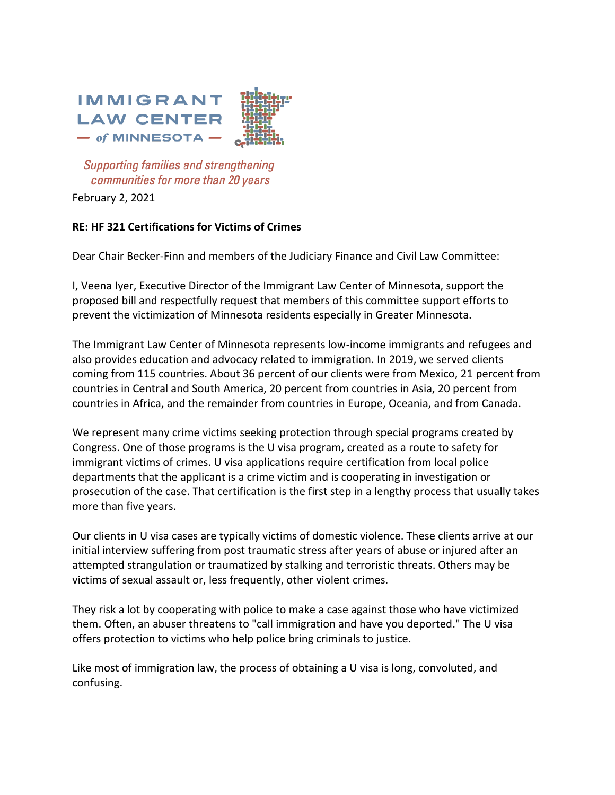

**Supporting families and strengthening** communities for more than 20 years

February 2, 2021

## **RE: HF 321 Certifications for Victims of Crimes**

Dear Chair Becker-Finn and members of the Judiciary Finance and Civil Law Committee:

I, Veena Iyer, Executive Director of the Immigrant Law Center of Minnesota, support the proposed bill and respectfully request that members of this committee support efforts to prevent the victimization of Minnesota residents especially in Greater Minnesota.

The Immigrant Law Center of Minnesota represents low-income immigrants and refugees and also provides education and advocacy related to immigration. In 2019, we served clients coming from 115 countries. About 36 percent of our clients were from Mexico, 21 percent from countries in Central and South America, 20 percent from countries in Asia, 20 percent from countries in Africa, and the remainder from countries in Europe, Oceania, and from Canada.

We represent many crime victims seeking protection through special programs created by Congress. One of those programs is the U visa program, created as a route to safety for immigrant victims of crimes. U visa applications require certification from local police departments that the applicant is a crime victim and is cooperating in investigation or prosecution of the case. That certification is the first step in a lengthy process that usually takes more than five years.

Our clients in U visa cases are typically victims of domestic violence. These clients arrive at our initial interview suffering from post traumatic stress after years of abuse or injured after an attempted strangulation or traumatized by stalking and terroristic threats. Others may be victims of sexual assault or, less frequently, other violent crimes.

They risk a lot by cooperating with police to make a case against those who have victimized them. Often, an abuser threatens to "call immigration and have you deported." The U visa offers protection to victims who help police bring criminals to justice.

Like most of immigration law, the process of obtaining a U visa is long, convoluted, and confusing.